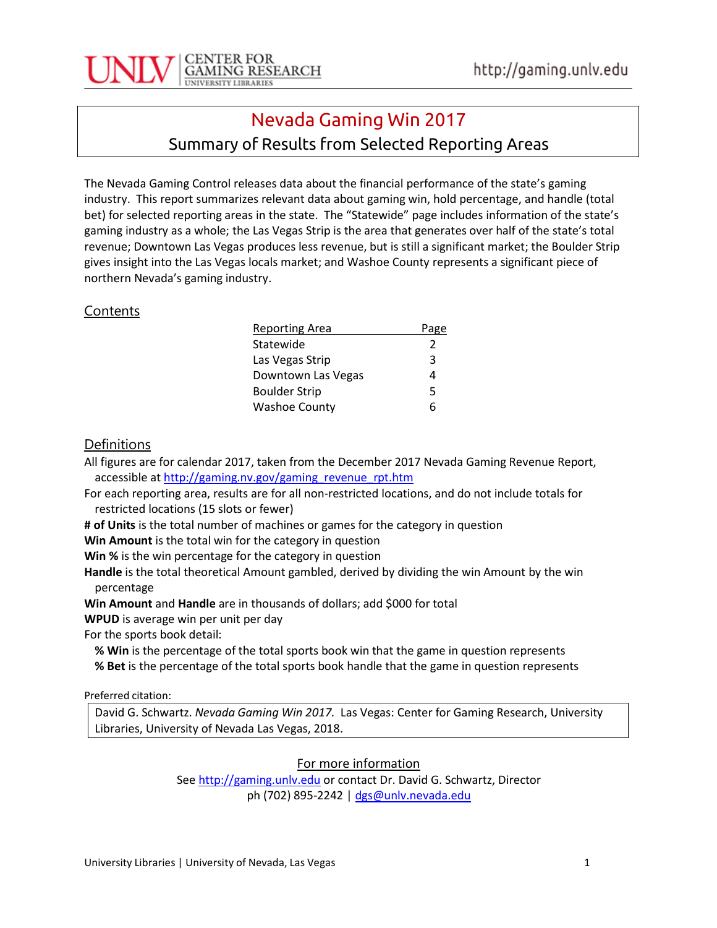

## Nevada Gaming Win 2017

### Summary of Results from Selected Reporting Areas

The Nevada Gaming Control releases data about the financial performance of the state's gaming industry. This report summarizes relevant data about gaming win, hold percentage, and handle (total bet) for selected reporting areas in the state. The "Statewide" page includes information of the state's gaming industry as a whole; the Las Vegas Strip is the area that generates over half of the state's total revenue; Downtown Las Vegas produces less revenue, but is still a significant market; the Boulder Strip gives insight into the Las Vegas locals market; and Washoe County represents a significant piece of northern Nevada's gaming industry.

#### **Contents**

| <b>Reporting Area</b> | Page          |
|-----------------------|---------------|
| Statewide             | $\mathcal{P}$ |
| Las Vegas Strip       | 3             |
| Downtown Las Vegas    | 4             |
| <b>Boulder Strip</b>  | 5             |
| <b>Washoe County</b>  | 6             |

#### **Definitions**

All figures are for calendar 2017, taken from the December 2017 Nevada Gaming Revenue Report, accessible at [http://gaming.nv.gov/gaming\\_revenue\\_rpt.htm](http://gaming.nv.gov/gaming_revenue_rpt.htm)

For each reporting area, results are for all non-restricted locations, and do not include totals for restricted locations (15 slots or fewer)

**# of Units** is the total number of machines or games for the category in question

**Win Amount** is the total win for the category in question

**Win %** is the win percentage for the category in question

**Handle** is the total theoretical Amount gambled, derived by dividing the win Amount by the win percentage

**Win Amount** and **Handle** are in thousands of dollars; add \$000 for total

**WPUD** is average win per unit per day

For the sports book detail:

**% Win** is the percentage of the total sports book win that the game in question represents

**% Bet** is the percentage of the total sports book handle that the game in question represents

Preferred citation:

David G. Schwartz. *Nevada Gaming Win 2017.* Las Vegas: Center for Gaming Research, University Libraries, University of Nevada Las Vegas, 2018.

For more information

Se[e http://gaming.unlv.edu](http://gaming.unlv.edu/) or contact Dr. David G. Schwartz, Director ph (702) 895-2242 | [dgs@unlv.nevada.edu](mailto:dgs@unlv.nevada.edu)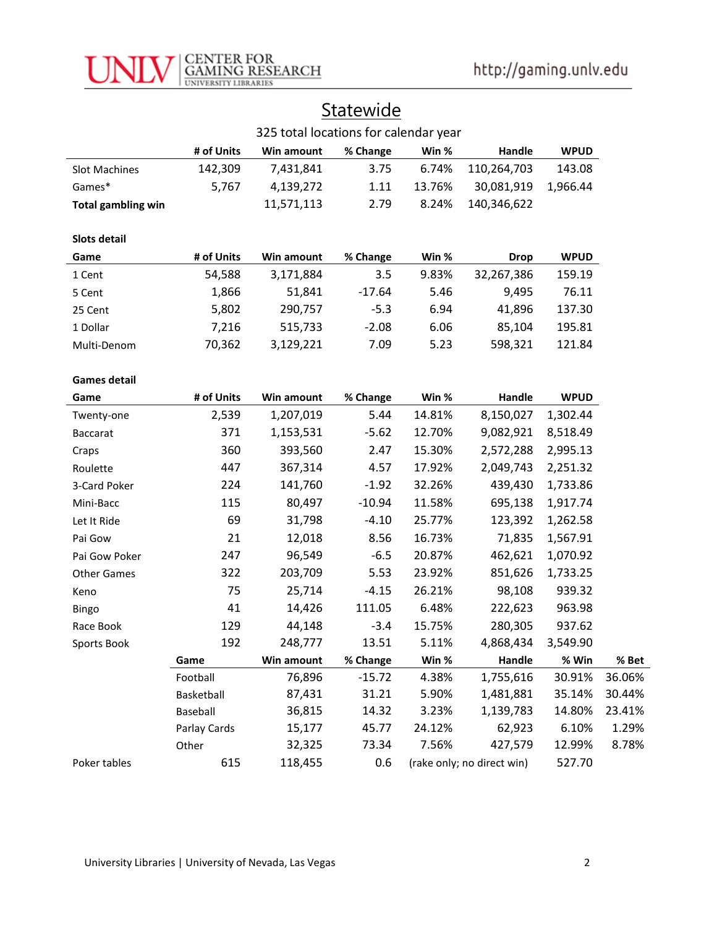

# **Statewide**

|                           | 325 total locations for calendar year |            |          |        |                            |             |        |
|---------------------------|---------------------------------------|------------|----------|--------|----------------------------|-------------|--------|
|                           | # of Units                            | Win amount | % Change | Win %  | Handle                     | <b>WPUD</b> |        |
| Slot Machines             | 142,309                               | 7,431,841  | 3.75     | 6.74%  | 110,264,703                | 143.08      |        |
| Games*                    | 5,767                                 | 4,139,272  | 1.11     | 13.76% | 30,081,919                 | 1,966.44    |        |
| <b>Total gambling win</b> |                                       | 11,571,113 | 2.79     | 8.24%  | 140,346,622                |             |        |
|                           |                                       |            |          |        |                            |             |        |
| Slots detail              |                                       |            |          |        |                            |             |        |
| Game                      | # of Units                            | Win amount | % Change | Win %  | <b>Drop</b>                | <b>WPUD</b> |        |
| 1 Cent                    | 54,588                                | 3,171,884  | 3.5      | 9.83%  | 32,267,386                 | 159.19      |        |
| 5 Cent                    | 1,866                                 | 51,841     | $-17.64$ | 5.46   | 9,495                      | 76.11       |        |
| 25 Cent                   | 5,802                                 | 290,757    | $-5.3$   | 6.94   | 41,896                     | 137.30      |        |
| 1 Dollar                  | 7,216                                 | 515,733    | $-2.08$  | 6.06   | 85,104                     | 195.81      |        |
| Multi-Denom               | 70,362                                | 3,129,221  | 7.09     | 5.23   | 598,321                    | 121.84      |        |
|                           |                                       |            |          |        |                            |             |        |
| <b>Games detail</b>       |                                       |            |          |        |                            |             |        |
| Game                      | # of Units                            | Win amount | % Change | Win %  | Handle                     | <b>WPUD</b> |        |
| Twenty-one                | 2,539                                 | 1,207,019  | 5.44     | 14.81% | 8,150,027                  | 1,302.44    |        |
| <b>Baccarat</b>           | 371                                   | 1,153,531  | $-5.62$  | 12.70% | 9,082,921                  | 8,518.49    |        |
| Craps                     | 360                                   | 393,560    | 2.47     | 15.30% | 2,572,288                  | 2,995.13    |        |
| Roulette                  | 447                                   | 367,314    | 4.57     | 17.92% | 2,049,743                  | 2,251.32    |        |
| 3-Card Poker              | 224                                   | 141,760    | $-1.92$  | 32.26% | 439,430                    | 1,733.86    |        |
| Mini-Bacc                 | 115                                   | 80,497     | $-10.94$ | 11.58% | 695,138                    | 1,917.74    |        |
| Let It Ride               | 69                                    | 31,798     | $-4.10$  | 25.77% | 123,392                    | 1,262.58    |        |
| Pai Gow                   | 21                                    | 12,018     | 8.56     | 16.73% | 71,835                     | 1,567.91    |        |
| Pai Gow Poker             | 247                                   | 96,549     | $-6.5$   | 20.87% | 462,621                    | 1,070.92    |        |
| <b>Other Games</b>        | 322                                   | 203,709    | 5.53     | 23.92% | 851,626                    | 1,733.25    |        |
| Keno                      | 75                                    | 25,714     | $-4.15$  | 26.21% | 98,108                     | 939.32      |        |
| Bingo                     | 41                                    | 14,426     | 111.05   | 6.48%  | 222,623                    | 963.98      |        |
| Race Book                 | 129                                   | 44,148     | $-3.4$   | 15.75% | 280,305                    | 937.62      |        |
| Sports Book               | 192                                   | 248,777    | 13.51    | 5.11%  | 4,868,434                  | 3,549.90    |        |
|                           | Game                                  | Win amount | % Change | Win %  | Handle                     | % Win       | % Bet  |
|                           | Football                              | 76,896     | $-15.72$ | 4.38%  | 1,755,616                  | 30.91%      | 36.06% |
|                           | Basketball                            | 87,431     | 31.21    | 5.90%  | 1,481,881                  | 35.14%      | 30.44% |
|                           | Baseball                              | 36,815     | 14.32    | 3.23%  | 1,139,783                  | 14.80%      | 23.41% |
|                           | Parlay Cards                          | 15,177     | 45.77    | 24.12% | 62,923                     | 6.10%       | 1.29%  |
|                           | Other                                 | 32,325     | 73.34    | 7.56%  | 427,579                    | 12.99%      | 8.78%  |
| Poker tables              | 615                                   | 118,455    | 0.6      |        | (rake only; no direct win) | 527.70      |        |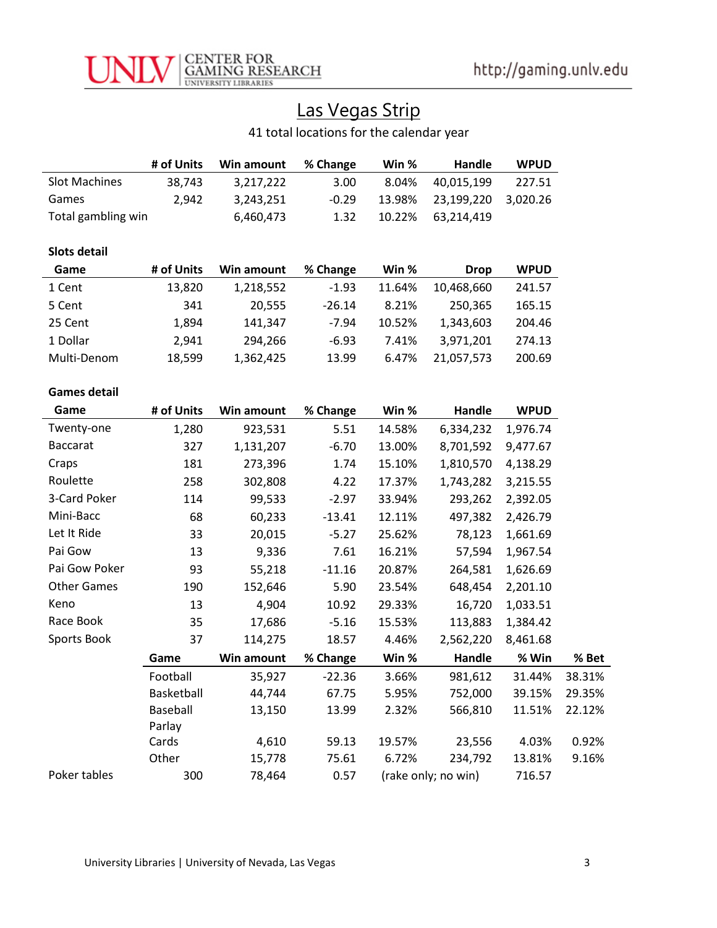

# Las Vegas Strip

41 total locations for the calendar year

|                      | # of Units | Win amount | % Change | Win %  | Handle              | <b>WPUD</b> |        |
|----------------------|------------|------------|----------|--------|---------------------|-------------|--------|
| <b>Slot Machines</b> | 38,743     | 3,217,222  | 3.00     | 8.04%  | 40,015,199          | 227.51      |        |
| Games                | 2,942      | 3,243,251  | $-0.29$  | 13.98% | 23,199,220          | 3,020.26    |        |
| Total gambling win   |            | 6,460,473  | 1.32     | 10.22% | 63,214,419          |             |        |
| <b>Slots detail</b>  |            |            |          |        |                     |             |        |
| Game                 | # of Units | Win amount | % Change | Win %  | <b>Drop</b>         | <b>WPUD</b> |        |
| 1 Cent               | 13,820     | 1,218,552  | $-1.93$  | 11.64% | 10,468,660          | 241.57      |        |
| 5 Cent               | 341        | 20,555     | $-26.14$ | 8.21%  | 250,365             | 165.15      |        |
| 25 Cent              | 1,894      | 141,347    | $-7.94$  | 10.52% | 1,343,603           | 204.46      |        |
| 1 Dollar             | 2,941      | 294,266    | $-6.93$  | 7.41%  | 3,971,201           | 274.13      |        |
| Multi-Denom          | 18,599     | 1,362,425  | 13.99    | 6.47%  | 21,057,573          | 200.69      |        |
| <b>Games detail</b>  |            |            |          |        |                     |             |        |
| Game                 | # of Units | Win amount | % Change | Win %  | Handle              | <b>WPUD</b> |        |
| Twenty-one           | 1,280      | 923,531    | 5.51     | 14.58% | 6,334,232           | 1,976.74    |        |
| <b>Baccarat</b>      | 327        | 1,131,207  | $-6.70$  | 13.00% | 8,701,592           | 9,477.67    |        |
| Craps                | 181        | 273,396    | 1.74     | 15.10% | 1,810,570           | 4,138.29    |        |
| Roulette             | 258        | 302,808    | 4.22     | 17.37% | 1,743,282           | 3,215.55    |        |
| 3-Card Poker         | 114        | 99,533     | $-2.97$  | 33.94% | 293,262             | 2,392.05    |        |
| Mini-Bacc            | 68         | 60,233     | $-13.41$ | 12.11% | 497,382             | 2,426.79    |        |
| Let It Ride          | 33         | 20,015     | $-5.27$  | 25.62% | 78,123              | 1,661.69    |        |
| Pai Gow              | 13         | 9,336      | 7.61     | 16.21% | 57,594              | 1,967.54    |        |
| Pai Gow Poker        | 93         | 55,218     | $-11.16$ | 20.87% | 264,581             | 1,626.69    |        |
| <b>Other Games</b>   | 190        | 152,646    | 5.90     | 23.54% | 648,454             | 2,201.10    |        |
| Keno                 | 13         | 4,904      | 10.92    | 29.33% | 16,720              | 1,033.51    |        |
| Race Book            | 35         | 17,686     | $-5.16$  | 15.53% | 113,883             | 1,384.42    |        |
| Sports Book          | 37         | 114,275    | 18.57    | 4.46%  | 2,562,220           | 8,461.68    |        |
|                      | Game       | Win amount | % Change | Win %  | Handle              | % Win       | % Bet  |
|                      | Football   | 35,927     | $-22.36$ | 3.66%  | 981,612             | 31.44%      | 38.31% |
|                      | Basketball | 44,744     | 67.75    | 5.95%  | 752,000             | 39.15%      | 29.35% |
|                      | Baseball   | 13,150     | 13.99    | 2.32%  | 566,810             | 11.51%      | 22.12% |
|                      | Parlay     |            |          |        |                     |             |        |
|                      | Cards      | 4,610      | 59.13    | 19.57% | 23,556              | 4.03%       | 0.92%  |
|                      | Other      | 15,778     | 75.61    | 6.72%  | 234,792             | 13.81%      | 9.16%  |
| Poker tables         | 300        | 78,464     | 0.57     |        | (rake only; no win) | 716.57      |        |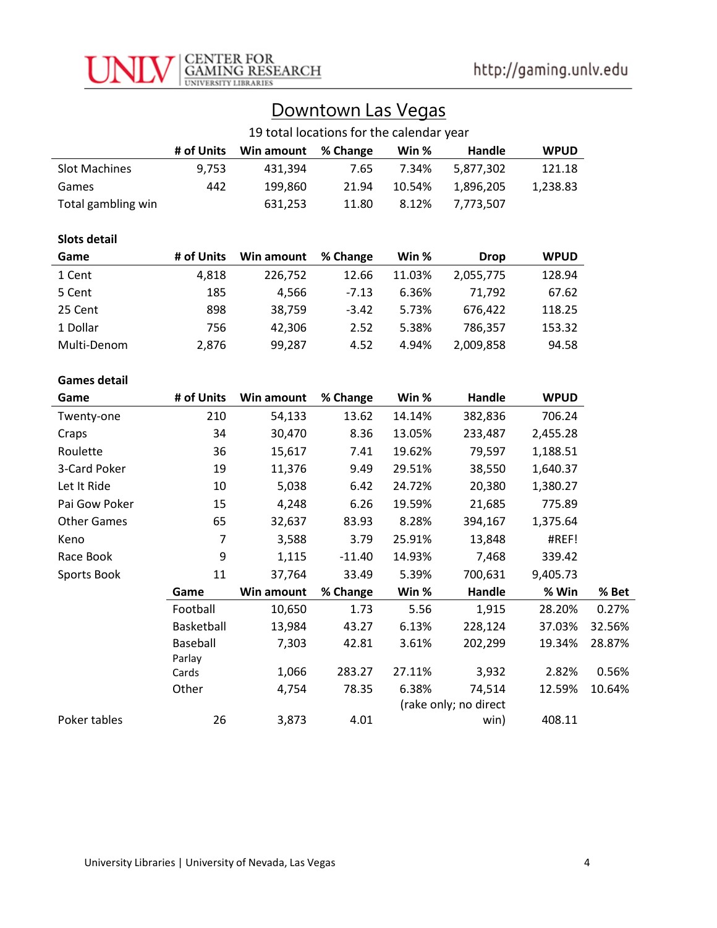

| Downtown Las Vegas |  |  |
|--------------------|--|--|
|                    |  |  |

|                      | 19 total locations for the calendar year |            |          |        |                                 |             |        |
|----------------------|------------------------------------------|------------|----------|--------|---------------------------------|-------------|--------|
|                      | # of Units                               | Win amount | % Change | Win %  | Handle                          | <b>WPUD</b> |        |
| <b>Slot Machines</b> | 9,753                                    | 431,394    | 7.65     | 7.34%  | 5,877,302                       | 121.18      |        |
| Games                | 442                                      | 199,860    | 21.94    | 10.54% | 1,896,205                       | 1,238.83    |        |
| Total gambling win   |                                          | 631,253    | 11.80    | 8.12%  | 7,773,507                       |             |        |
| <b>Slots detail</b>  |                                          |            |          |        |                                 |             |        |
| Game                 | # of Units                               | Win amount | % Change | Win %  | <b>Drop</b>                     | <b>WPUD</b> |        |
| 1 Cent               | 4,818                                    | 226,752    | 12.66    | 11.03% | 2,055,775                       | 128.94      |        |
| 5 Cent               | 185                                      | 4,566      | $-7.13$  | 6.36%  | 71,792                          | 67.62       |        |
| 25 Cent              | 898                                      | 38,759     | $-3.42$  | 5.73%  | 676,422                         | 118.25      |        |
| 1 Dollar             | 756                                      | 42,306     | 2.52     | 5.38%  | 786,357                         | 153.32      |        |
| Multi-Denom          | 2,876                                    | 99,287     | 4.52     | 4.94%  | 2,009,858                       | 94.58       |        |
|                      |                                          |            |          |        |                                 |             |        |
| <b>Games detail</b>  |                                          |            |          |        |                                 |             |        |
| Game                 | # of Units                               | Win amount | % Change | Win %  | Handle                          | <b>WPUD</b> |        |
| Twenty-one           | 210                                      | 54,133     | 13.62    | 14.14% | 382,836                         | 706.24      |        |
| Craps                | 34                                       | 30,470     | 8.36     | 13.05% | 233,487                         | 2,455.28    |        |
| Roulette             | 36                                       | 15,617     | 7.41     | 19.62% | 79,597                          | 1,188.51    |        |
| 3-Card Poker         | 19                                       | 11,376     | 9.49     | 29.51% | 38,550                          | 1,640.37    |        |
| Let It Ride          | 10                                       | 5,038      | 6.42     | 24.72% | 20,380                          | 1,380.27    |        |
| Pai Gow Poker        | 15                                       | 4,248      | 6.26     | 19.59% | 21,685                          | 775.89      |        |
| <b>Other Games</b>   | 65                                       | 32,637     | 83.93    | 8.28%  | 394,167                         | 1,375.64    |        |
| Keno                 | $\overline{7}$                           | 3,588      | 3.79     | 25.91% | 13,848                          | #REF!       |        |
| Race Book            | 9                                        | 1,115      | $-11.40$ | 14.93% | 7,468                           | 339.42      |        |
| Sports Book          | 11                                       | 37,764     | 33.49    | 5.39%  | 700,631                         | 9,405.73    |        |
|                      | Game                                     | Win amount | % Change | Win %  | Handle                          | % Win       | % Bet  |
|                      | Football                                 | 10,650     | 1.73     | 5.56   | 1,915                           | 28.20%      | 0.27%  |
|                      | Basketball                               | 13,984     | 43.27    | 6.13%  | 228,124                         | 37.03%      | 32.56% |
|                      | Baseball                                 | 7,303      | 42.81    | 3.61%  | 202,299                         | 19.34%      | 28.87% |
|                      | Parlay                                   |            |          |        |                                 |             |        |
|                      | Cards                                    | 1,066      | 283.27   | 27.11% | 3,932                           | 2.82%       | 0.56%  |
|                      |                                          |            |          |        |                                 |             |        |
|                      | Other                                    | 4,754      | 78.35    | 6.38%  | 74,514<br>(rake only; no direct | 12.59%      | 10.64% |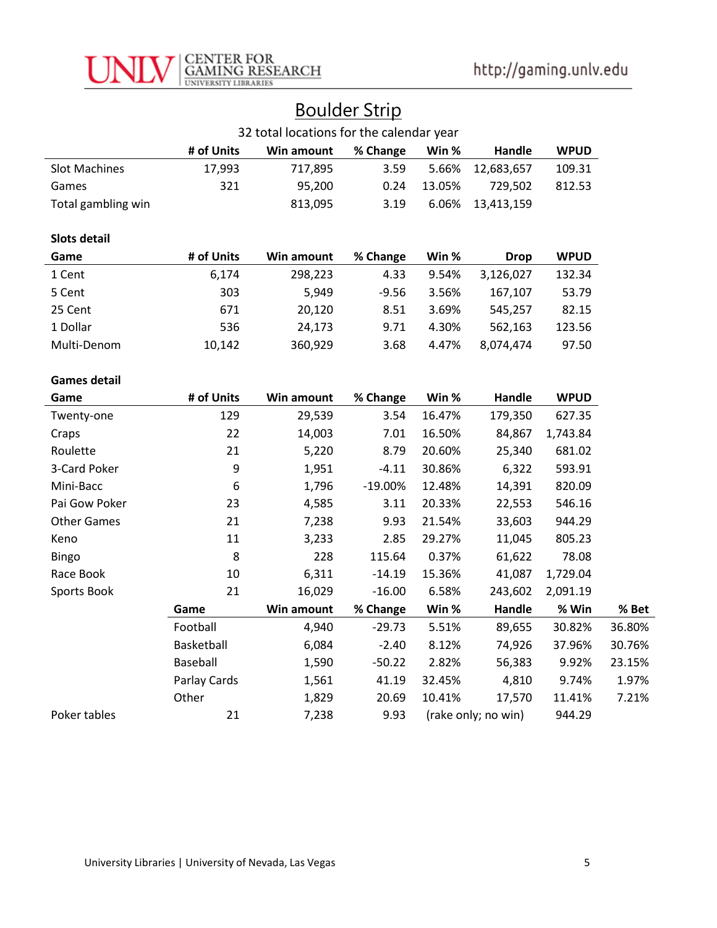

|  | <b>Boulder Strip</b> |
|--|----------------------|
|  |                      |

| 32 total locations for the calendar year |              |            |           |        |                     |             |        |
|------------------------------------------|--------------|------------|-----------|--------|---------------------|-------------|--------|
|                                          | # of Units   | Win amount | % Change  | Win %  | Handle              | <b>WPUD</b> |        |
| <b>Slot Machines</b>                     | 17,993       | 717,895    | 3.59      | 5.66%  | 12,683,657          | 109.31      |        |
| Games                                    | 321          | 95,200     | 0.24      | 13.05% | 729,502             | 812.53      |        |
| Total gambling win                       |              | 813,095    | 3.19      | 6.06%  | 13,413,159          |             |        |
| <b>Slots detail</b>                      |              |            |           |        |                     |             |        |
| Game                                     | # of Units   | Win amount | % Change  | Win %  | <b>Drop</b>         | <b>WPUD</b> |        |
| 1 Cent                                   | 6,174        | 298,223    | 4.33      | 9.54%  | 3,126,027           | 132.34      |        |
| 5 Cent                                   | 303          | 5,949      | $-9.56$   | 3.56%  | 167,107             | 53.79       |        |
| 25 Cent                                  | 671          | 20,120     | 8.51      | 3.69%  | 545,257             | 82.15       |        |
| 1 Dollar                                 | 536          | 24,173     | 9.71      | 4.30%  | 562,163             | 123.56      |        |
| Multi-Denom                              | 10,142       | 360,929    | 3.68      | 4.47%  | 8,074,474           | 97.50       |        |
|                                          |              |            |           |        |                     |             |        |
| <b>Games detail</b>                      |              |            |           |        |                     |             |        |
| Game                                     | # of Units   | Win amount | % Change  | Win %  | Handle              | <b>WPUD</b> |        |
| Twenty-one                               | 129          | 29,539     | 3.54      | 16.47% | 179,350             | 627.35      |        |
| Craps                                    | 22           | 14,003     | 7.01      | 16.50% | 84,867              | 1,743.84    |        |
| Roulette                                 | 21           | 5,220      | 8.79      | 20.60% | 25,340              | 681.02      |        |
| 3-Card Poker                             | 9            | 1,951      | $-4.11$   | 30.86% | 6,322               | 593.91      |        |
| Mini-Bacc                                | 6            | 1,796      | $-19.00%$ | 12.48% | 14,391              | 820.09      |        |
| Pai Gow Poker                            | 23           | 4,585      | 3.11      | 20.33% | 22,553              | 546.16      |        |
| <b>Other Games</b>                       | 21           | 7,238      | 9.93      | 21.54% | 33,603              | 944.29      |        |
| Keno                                     | 11           | 3,233      | 2.85      | 29.27% | 11,045              | 805.23      |        |
| Bingo                                    | 8            | 228        | 115.64    | 0.37%  | 61,622              | 78.08       |        |
| Race Book                                | 10           | 6,311      | $-14.19$  | 15.36% | 41,087              | 1,729.04    |        |
| Sports Book                              | 21           | 16,029     | $-16.00$  | 6.58%  | 243,602             | 2,091.19    |        |
|                                          | Game         | Win amount | % Change  | Win %  | Handle              | % Win       | % Bet  |
|                                          | Football     | 4,940      | $-29.73$  | 5.51%  | 89,655              | 30.82%      | 36.80% |
|                                          | Basketball   | 6,084      | $-2.40$   | 8.12%  | 74,926              | 37.96%      | 30.76% |
|                                          | Baseball     | 1,590      | $-50.22$  | 2.82%  | 56,383              | 9.92%       | 23.15% |
|                                          | Parlay Cards | 1,561      | 41.19     | 32.45% | 4,810               | 9.74%       | 1.97%  |
|                                          | Other        | 1,829      | 20.69     | 10.41% | 17,570              | 11.41%      | 7.21%  |
| Poker tables                             | 21           | 7,238      | 9.93      |        | (rake only; no win) | 944.29      |        |